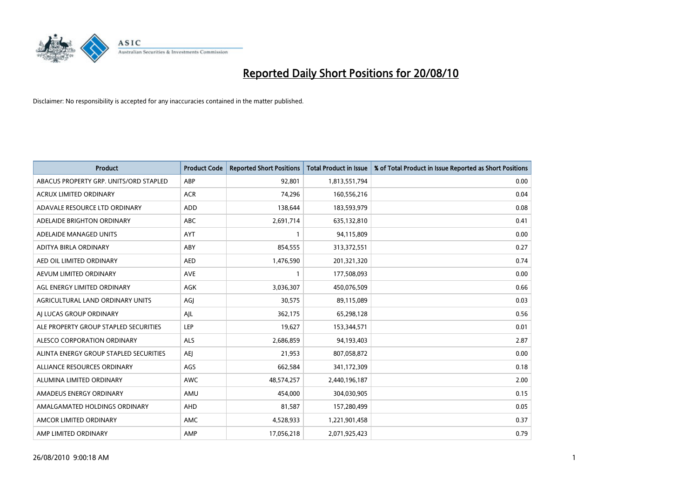

| <b>Product</b>                         | <b>Product Code</b> | <b>Reported Short Positions</b> | <b>Total Product in Issue</b> | % of Total Product in Issue Reported as Short Positions |
|----------------------------------------|---------------------|---------------------------------|-------------------------------|---------------------------------------------------------|
| ABACUS PROPERTY GRP. UNITS/ORD STAPLED | ABP                 | 92,801                          | 1,813,551,794                 | 0.00                                                    |
| <b>ACRUX LIMITED ORDINARY</b>          | <b>ACR</b>          | 74,296                          | 160,556,216                   | 0.04                                                    |
| ADAVALE RESOURCE LTD ORDINARY          | <b>ADD</b>          | 138,644                         | 183,593,979                   | 0.08                                                    |
| ADELAIDE BRIGHTON ORDINARY             | <b>ABC</b>          | 2,691,714                       | 635,132,810                   | 0.41                                                    |
| ADELAIDE MANAGED UNITS                 | <b>AYT</b>          |                                 | 94,115,809                    | 0.00                                                    |
| ADITYA BIRLA ORDINARY                  | ABY                 | 854,555                         | 313,372,551                   | 0.27                                                    |
| AED OIL LIMITED ORDINARY               | <b>AED</b>          | 1,476,590                       | 201,321,320                   | 0.74                                                    |
| AEVUM LIMITED ORDINARY                 | <b>AVE</b>          |                                 | 177,508,093                   | 0.00                                                    |
| AGL ENERGY LIMITED ORDINARY            | <b>AGK</b>          | 3,036,307                       | 450,076,509                   | 0.66                                                    |
| AGRICULTURAL LAND ORDINARY UNITS       | AGI                 | 30,575                          | 89,115,089                    | 0.03                                                    |
| AI LUCAS GROUP ORDINARY                | AJL                 | 362,175                         | 65,298,128                    | 0.56                                                    |
| ALE PROPERTY GROUP STAPLED SECURITIES  | <b>LEP</b>          | 19,627                          | 153,344,571                   | 0.01                                                    |
| ALESCO CORPORATION ORDINARY            | <b>ALS</b>          | 2.686.859                       | 94,193,403                    | 2.87                                                    |
| ALINTA ENERGY GROUP STAPLED SECURITIES | <b>AEI</b>          | 21,953                          | 807,058,872                   | 0.00                                                    |
| ALLIANCE RESOURCES ORDINARY            | AGS                 | 662,584                         | 341,172,309                   | 0.18                                                    |
| ALUMINA LIMITED ORDINARY               | <b>AWC</b>          | 48,574,257                      | 2,440,196,187                 | 2.00                                                    |
| AMADEUS ENERGY ORDINARY                | AMU                 | 454,000                         | 304,030,905                   | 0.15                                                    |
| AMALGAMATED HOLDINGS ORDINARY          | AHD                 | 81,587                          | 157,280,499                   | 0.05                                                    |
| AMCOR LIMITED ORDINARY                 | AMC                 | 4,528,933                       | 1,221,901,458                 | 0.37                                                    |
| AMP LIMITED ORDINARY                   | AMP                 | 17,056,218                      | 2,071,925,423                 | 0.79                                                    |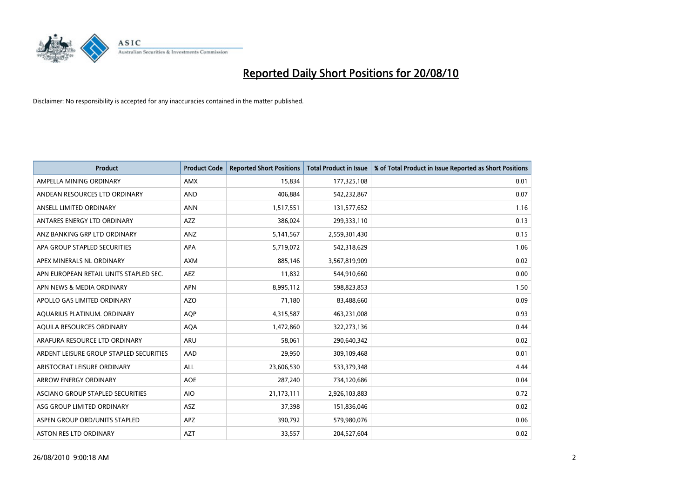

| <b>Product</b>                          | <b>Product Code</b> | <b>Reported Short Positions</b> | Total Product in Issue | % of Total Product in Issue Reported as Short Positions |
|-----------------------------------------|---------------------|---------------------------------|------------------------|---------------------------------------------------------|
| AMPELLA MINING ORDINARY                 | <b>AMX</b>          | 15,834                          | 177,325,108            | 0.01                                                    |
| ANDEAN RESOURCES LTD ORDINARY           | <b>AND</b>          | 406,884                         | 542,232,867            | 0.07                                                    |
| ANSELL LIMITED ORDINARY                 | <b>ANN</b>          | 1,517,551                       | 131,577,652            | 1.16                                                    |
| ANTARES ENERGY LTD ORDINARY             | <b>AZZ</b>          | 386,024                         | 299,333,110            | 0.13                                                    |
| ANZ BANKING GRP LTD ORDINARY            | ANZ                 | 5,141,567                       | 2,559,301,430          | 0.15                                                    |
| APA GROUP STAPLED SECURITIES            | <b>APA</b>          | 5,719,072                       | 542,318,629            | 1.06                                                    |
| APEX MINERALS NL ORDINARY               | <b>AXM</b>          | 885,146                         | 3,567,819,909          | 0.02                                                    |
| APN EUROPEAN RETAIL UNITS STAPLED SEC.  | <b>AEZ</b>          | 11,832                          | 544,910,660            | 0.00                                                    |
| APN NEWS & MEDIA ORDINARY               | <b>APN</b>          | 8,995,112                       | 598,823,853            | 1.50                                                    |
| APOLLO GAS LIMITED ORDINARY             | <b>AZO</b>          | 71,180                          | 83,488,660             | 0.09                                                    |
| AQUARIUS PLATINUM. ORDINARY             | <b>AOP</b>          | 4,315,587                       | 463,231,008            | 0.93                                                    |
| AQUILA RESOURCES ORDINARY               | <b>AQA</b>          | 1,472,860                       | 322,273,136            | 0.44                                                    |
| ARAFURA RESOURCE LTD ORDINARY           | <b>ARU</b>          | 58,061                          | 290,640,342            | 0.02                                                    |
| ARDENT LEISURE GROUP STAPLED SECURITIES | AAD                 | 29,950                          | 309,109,468            | 0.01                                                    |
| ARISTOCRAT LEISURE ORDINARY             | <b>ALL</b>          | 23,606,530                      | 533,379,348            | 4.44                                                    |
| ARROW ENERGY ORDINARY                   | <b>AOE</b>          | 287,240                         | 734,120,686            | 0.04                                                    |
| ASCIANO GROUP STAPLED SECURITIES        | <b>AIO</b>          | 21,173,111                      | 2,926,103,883          | 0.72                                                    |
| ASG GROUP LIMITED ORDINARY              | <b>ASZ</b>          | 37,398                          | 151,836,046            | 0.02                                                    |
| ASPEN GROUP ORD/UNITS STAPLED           | APZ                 | 390,792                         | 579,980,076            | 0.06                                                    |
| ASTON RES LTD ORDINARY                  | <b>AZT</b>          | 33,557                          | 204,527,604            | 0.02                                                    |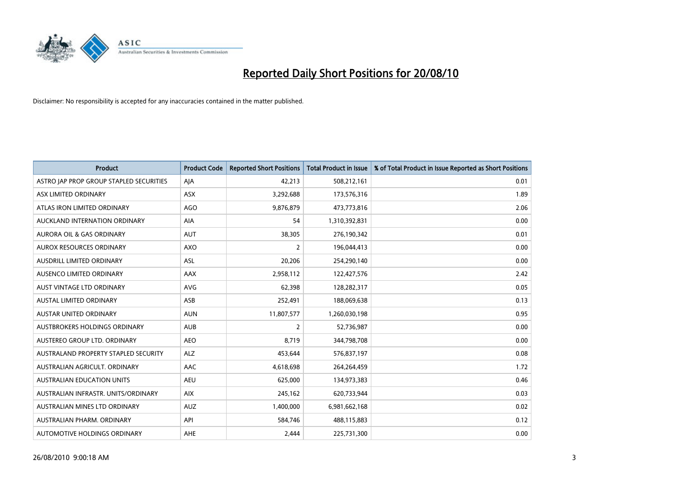

| <b>Product</b>                          | <b>Product Code</b> | <b>Reported Short Positions</b> | <b>Total Product in Issue</b> | % of Total Product in Issue Reported as Short Positions |
|-----------------------------------------|---------------------|---------------------------------|-------------------------------|---------------------------------------------------------|
| ASTRO JAP PROP GROUP STAPLED SECURITIES | AJA                 | 42,213                          | 508,212,161                   | 0.01                                                    |
| ASX LIMITED ORDINARY                    | <b>ASX</b>          | 3,292,688                       | 173,576,316                   | 1.89                                                    |
| ATLAS IRON LIMITED ORDINARY             | <b>AGO</b>          | 9,876,879                       | 473,773,816                   | 2.06                                                    |
| AUCKLAND INTERNATION ORDINARY           | AIA                 | 54                              | 1,310,392,831                 | 0.00                                                    |
| <b>AURORA OIL &amp; GAS ORDINARY</b>    | <b>AUT</b>          | 38,305                          | 276,190,342                   | 0.01                                                    |
| AUROX RESOURCES ORDINARY                | AXO                 | 2                               | 196,044,413                   | 0.00                                                    |
| <b>AUSDRILL LIMITED ORDINARY</b>        | <b>ASL</b>          | 20,206                          | 254,290,140                   | 0.00                                                    |
| AUSENCO LIMITED ORDINARY                | AAX                 | 2,958,112                       | 122,427,576                   | 2.42                                                    |
| AUST VINTAGE LTD ORDINARY               | <b>AVG</b>          | 62,398                          | 128,282,317                   | 0.05                                                    |
| <b>AUSTAL LIMITED ORDINARY</b>          | ASB                 | 252,491                         | 188,069,638                   | 0.13                                                    |
| AUSTAR UNITED ORDINARY                  | <b>AUN</b>          | 11,807,577                      | 1,260,030,198                 | 0.95                                                    |
| <b>AUSTBROKERS HOLDINGS ORDINARY</b>    | <b>AUB</b>          | 2                               | 52,736,987                    | 0.00                                                    |
| AUSTEREO GROUP LTD. ORDINARY            | <b>AEO</b>          | 8,719                           | 344,798,708                   | 0.00                                                    |
| AUSTRALAND PROPERTY STAPLED SECURITY    | <b>ALZ</b>          | 453,644                         | 576,837,197                   | 0.08                                                    |
| AUSTRALIAN AGRICULT, ORDINARY           | AAC                 | 4,618,698                       | 264,264,459                   | 1.72                                                    |
| AUSTRALIAN EDUCATION UNITS              | <b>AEU</b>          | 625,000                         | 134,973,383                   | 0.46                                                    |
| AUSTRALIAN INFRASTR, UNITS/ORDINARY     | <b>AIX</b>          | 245,162                         | 620,733,944                   | 0.03                                                    |
| AUSTRALIAN MINES LTD ORDINARY           | <b>AUZ</b>          | 1,400,000                       | 6,981,662,168                 | 0.02                                                    |
| AUSTRALIAN PHARM, ORDINARY              | API                 | 584,746                         | 488,115,883                   | 0.12                                                    |
| AUTOMOTIVE HOLDINGS ORDINARY            | AHE                 | 2.444                           | 225,731,300                   | 0.00                                                    |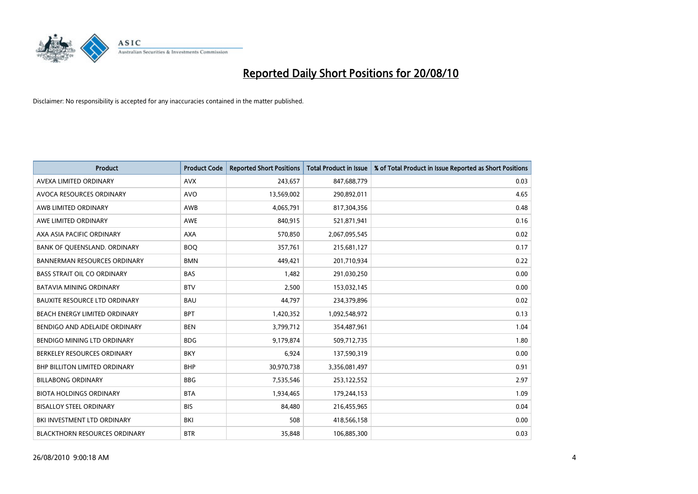

| <b>Product</b>                       | <b>Product Code</b> | <b>Reported Short Positions</b> | <b>Total Product in Issue</b> | % of Total Product in Issue Reported as Short Positions |
|--------------------------------------|---------------------|---------------------------------|-------------------------------|---------------------------------------------------------|
| AVEXA LIMITED ORDINARY               | <b>AVX</b>          | 243,657                         | 847,688,779                   | 0.03                                                    |
| AVOCA RESOURCES ORDINARY             | <b>AVO</b>          | 13,569,002                      | 290,892,011                   | 4.65                                                    |
| AWB LIMITED ORDINARY                 | <b>AWB</b>          | 4,065,791                       | 817,304,356                   | 0.48                                                    |
| AWE LIMITED ORDINARY                 | <b>AWE</b>          | 840,915                         | 521,871,941                   | 0.16                                                    |
| AXA ASIA PACIFIC ORDINARY            | <b>AXA</b>          | 570,850                         | 2,067,095,545                 | 0.02                                                    |
| BANK OF QUEENSLAND. ORDINARY         | <b>BOQ</b>          | 357,761                         | 215,681,127                   | 0.17                                                    |
| <b>BANNERMAN RESOURCES ORDINARY</b>  | <b>BMN</b>          | 449,421                         | 201,710,934                   | 0.22                                                    |
| <b>BASS STRAIT OIL CO ORDINARY</b>   | <b>BAS</b>          | 1,482                           | 291,030,250                   | 0.00                                                    |
| BATAVIA MINING ORDINARY              | <b>BTV</b>          | 2,500                           | 153,032,145                   | 0.00                                                    |
| <b>BAUXITE RESOURCE LTD ORDINARY</b> | <b>BAU</b>          | 44,797                          | 234,379,896                   | 0.02                                                    |
| BEACH ENERGY LIMITED ORDINARY        | <b>BPT</b>          | 1,420,352                       | 1,092,548,972                 | 0.13                                                    |
| BENDIGO AND ADELAIDE ORDINARY        | <b>BEN</b>          | 3,799,712                       | 354,487,961                   | 1.04                                                    |
| BENDIGO MINING LTD ORDINARY          | <b>BDG</b>          | 9,179,874                       | 509,712,735                   | 1.80                                                    |
| BERKELEY RESOURCES ORDINARY          | <b>BKY</b>          | 6,924                           | 137,590,319                   | 0.00                                                    |
| <b>BHP BILLITON LIMITED ORDINARY</b> | <b>BHP</b>          | 30,970,738                      | 3,356,081,497                 | 0.91                                                    |
| <b>BILLABONG ORDINARY</b>            | <b>BBG</b>          | 7,535,546                       | 253,122,552                   | 2.97                                                    |
| <b>BIOTA HOLDINGS ORDINARY</b>       | <b>BTA</b>          | 1,934,465                       | 179,244,153                   | 1.09                                                    |
| <b>BISALLOY STEEL ORDINARY</b>       | <b>BIS</b>          | 84,480                          | 216,455,965                   | 0.04                                                    |
| BKI INVESTMENT LTD ORDINARY          | BKI                 | 508                             | 418,566,158                   | 0.00                                                    |
| <b>BLACKTHORN RESOURCES ORDINARY</b> | <b>BTR</b>          | 35.848                          | 106,885,300                   | 0.03                                                    |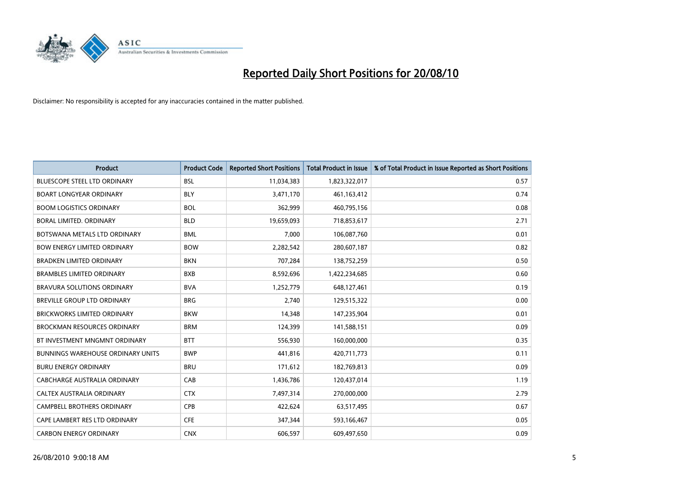

| <b>Product</b>                           | <b>Product Code</b> | <b>Reported Short Positions</b> | <b>Total Product in Issue</b> | % of Total Product in Issue Reported as Short Positions |
|------------------------------------------|---------------------|---------------------------------|-------------------------------|---------------------------------------------------------|
| <b>BLUESCOPE STEEL LTD ORDINARY</b>      | <b>BSL</b>          | 11,034,383                      | 1,823,322,017                 | 0.57                                                    |
| <b>BOART LONGYEAR ORDINARY</b>           | <b>BLY</b>          | 3,471,170                       | 461, 163, 412                 | 0.74                                                    |
| <b>BOOM LOGISTICS ORDINARY</b>           | <b>BOL</b>          | 362.999                         | 460,795,156                   | 0.08                                                    |
| BORAL LIMITED. ORDINARY                  | <b>BLD</b>          | 19,659,093                      | 718,853,617                   | 2.71                                                    |
| BOTSWANA METALS LTD ORDINARY             | <b>BML</b>          | 7,000                           | 106,087,760                   | 0.01                                                    |
| <b>BOW ENERGY LIMITED ORDINARY</b>       | <b>BOW</b>          | 2,282,542                       | 280,607,187                   | 0.82                                                    |
| <b>BRADKEN LIMITED ORDINARY</b>          | <b>BKN</b>          | 707,284                         | 138,752,259                   | 0.50                                                    |
| <b>BRAMBLES LIMITED ORDINARY</b>         | <b>BXB</b>          | 8,592,696                       | 1,422,234,685                 | 0.60                                                    |
| <b>BRAVURA SOLUTIONS ORDINARY</b>        | <b>BVA</b>          | 1,252,779                       | 648,127,461                   | 0.19                                                    |
| <b>BREVILLE GROUP LTD ORDINARY</b>       | <b>BRG</b>          | 2,740                           | 129,515,322                   | 0.00                                                    |
| BRICKWORKS LIMITED ORDINARY              | <b>BKW</b>          | 14,348                          | 147,235,904                   | 0.01                                                    |
| <b>BROCKMAN RESOURCES ORDINARY</b>       | <b>BRM</b>          | 124,399                         | 141,588,151                   | 0.09                                                    |
| BT INVESTMENT MNGMNT ORDINARY            | <b>BTT</b>          | 556,930                         | 160,000,000                   | 0.35                                                    |
| <b>BUNNINGS WAREHOUSE ORDINARY UNITS</b> | <b>BWP</b>          | 441,816                         | 420,711,773                   | 0.11                                                    |
| <b>BURU ENERGY ORDINARY</b>              | <b>BRU</b>          | 171,612                         | 182,769,813                   | 0.09                                                    |
| CABCHARGE AUSTRALIA ORDINARY             | CAB                 | 1,436,786                       | 120,437,014                   | 1.19                                                    |
| CALTEX AUSTRALIA ORDINARY                | <b>CTX</b>          | 7,497,314                       | 270,000,000                   | 2.79                                                    |
| CAMPBELL BROTHERS ORDINARY               | <b>CPB</b>          | 422,624                         | 63,517,495                    | 0.67                                                    |
| CAPE LAMBERT RES LTD ORDINARY            | <b>CFE</b>          | 347,344                         | 593,166,467                   | 0.05                                                    |
| <b>CARBON ENERGY ORDINARY</b>            | <b>CNX</b>          | 606,597                         | 609,497,650                   | 0.09                                                    |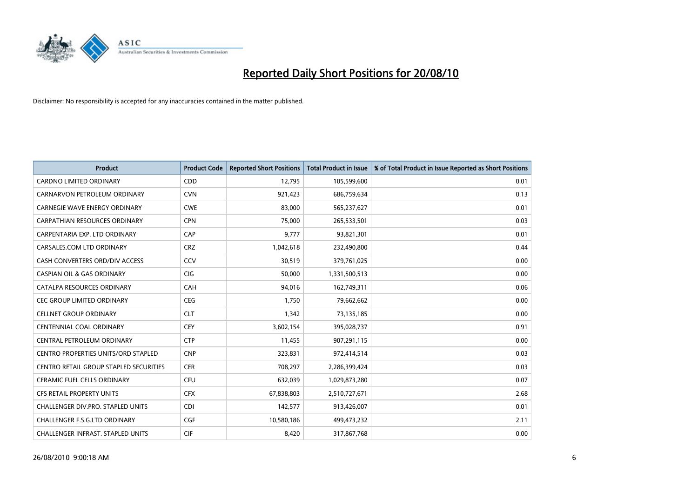

| <b>Product</b>                                | <b>Product Code</b> | <b>Reported Short Positions</b> | <b>Total Product in Issue</b> | % of Total Product in Issue Reported as Short Positions |
|-----------------------------------------------|---------------------|---------------------------------|-------------------------------|---------------------------------------------------------|
| <b>CARDNO LIMITED ORDINARY</b>                | CDD                 | 12.795                          | 105,599,600                   | 0.01                                                    |
| CARNARVON PETROLEUM ORDINARY                  | <b>CVN</b>          | 921,423                         | 686,759,634                   | 0.13                                                    |
| <b>CARNEGIE WAVE ENERGY ORDINARY</b>          | <b>CWE</b>          | 83,000                          | 565,237,627                   | 0.01                                                    |
| CARPATHIAN RESOURCES ORDINARY                 | <b>CPN</b>          | 75,000                          | 265,533,501                   | 0.03                                                    |
| CARPENTARIA EXP. LTD ORDINARY                 | CAP                 | 9,777                           | 93,821,301                    | 0.01                                                    |
| CARSALES.COM LTD ORDINARY                     | <b>CRZ</b>          | 1,042,618                       | 232,490,800                   | 0.44                                                    |
| CASH CONVERTERS ORD/DIV ACCESS                | CCV                 | 30,519                          | 379,761,025                   | 0.00                                                    |
| <b>CASPIAN OIL &amp; GAS ORDINARY</b>         | <b>CIG</b>          | 50,000                          | 1,331,500,513                 | 0.00                                                    |
| CATALPA RESOURCES ORDINARY                    | <b>CAH</b>          | 94,016                          | 162,749,311                   | 0.06                                                    |
| <b>CEC GROUP LIMITED ORDINARY</b>             | <b>CEG</b>          | 1,750                           | 79,662,662                    | 0.00                                                    |
| <b>CELLNET GROUP ORDINARY</b>                 | <b>CLT</b>          | 1,342                           | 73,135,185                    | 0.00                                                    |
| <b>CENTENNIAL COAL ORDINARY</b>               | <b>CEY</b>          | 3,602,154                       | 395,028,737                   | 0.91                                                    |
| CENTRAL PETROLEUM ORDINARY                    | <b>CTP</b>          | 11,455                          | 907,291,115                   | 0.00                                                    |
| <b>CENTRO PROPERTIES UNITS/ORD STAPLED</b>    | <b>CNP</b>          | 323,831                         | 972,414,514                   | 0.03                                                    |
| <b>CENTRO RETAIL GROUP STAPLED SECURITIES</b> | <b>CER</b>          | 708,297                         | 2,286,399,424                 | 0.03                                                    |
| <b>CERAMIC FUEL CELLS ORDINARY</b>            | <b>CFU</b>          | 632,039                         | 1,029,873,280                 | 0.07                                                    |
| CFS RETAIL PROPERTY UNITS                     | <b>CFX</b>          | 67,838,803                      | 2,510,727,671                 | 2.68                                                    |
| <b>CHALLENGER DIV.PRO. STAPLED UNITS</b>      | <b>CDI</b>          | 142,577                         | 913,426,007                   | 0.01                                                    |
| <b>CHALLENGER F.S.G.LTD ORDINARY</b>          | <b>CGF</b>          | 10,580,186                      | 499,473,232                   | 2.11                                                    |
| CHALLENGER INFRAST. STAPLED UNITS             | <b>CIF</b>          | 8,420                           | 317,867,768                   | 0.00                                                    |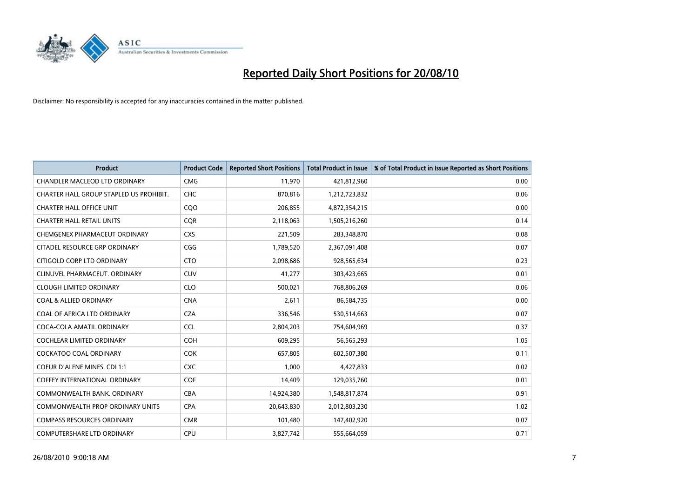

| <b>Product</b>                          | <b>Product Code</b> | <b>Reported Short Positions</b> | Total Product in Issue | % of Total Product in Issue Reported as Short Positions |
|-----------------------------------------|---------------------|---------------------------------|------------------------|---------------------------------------------------------|
| <b>CHANDLER MACLEOD LTD ORDINARY</b>    | <b>CMG</b>          | 11,970                          | 421,812,960            | 0.00                                                    |
| CHARTER HALL GROUP STAPLED US PROHIBIT. | CHC                 | 870,816                         | 1,212,723,832          | 0.06                                                    |
| <b>CHARTER HALL OFFICE UNIT</b>         | CQO                 | 206,855                         | 4,872,354,215          | 0.00                                                    |
| <b>CHARTER HALL RETAIL UNITS</b>        | <b>COR</b>          | 2,118,063                       | 1,505,216,260          | 0.14                                                    |
| CHEMGENEX PHARMACEUT ORDINARY           | <b>CXS</b>          | 221,509                         | 283,348,870            | 0.08                                                    |
| CITADEL RESOURCE GRP ORDINARY           | CGG                 | 1,789,520                       | 2,367,091,408          | 0.07                                                    |
| CITIGOLD CORP LTD ORDINARY              | <b>CTO</b>          | 2,098,686                       | 928,565,634            | 0.23                                                    |
| CLINUVEL PHARMACEUT, ORDINARY           | CUV                 | 41,277                          | 303,423,665            | 0.01                                                    |
| <b>CLOUGH LIMITED ORDINARY</b>          | <b>CLO</b>          | 500,021                         | 768,806,269            | 0.06                                                    |
| <b>COAL &amp; ALLIED ORDINARY</b>       | <b>CNA</b>          | 2.611                           | 86,584,735             | 0.00                                                    |
| COAL OF AFRICA LTD ORDINARY             | <b>CZA</b>          | 336,546                         | 530,514,663            | 0.07                                                    |
| COCA-COLA AMATIL ORDINARY               | <b>CCL</b>          | 2,804,203                       | 754,604,969            | 0.37                                                    |
| <b>COCHLEAR LIMITED ORDINARY</b>        | <b>COH</b>          | 609,295                         | 56,565,293             | 1.05                                                    |
| <b>COCKATOO COAL ORDINARY</b>           | <b>COK</b>          | 657.805                         | 602,507,380            | 0.11                                                    |
| COEUR D'ALENE MINES. CDI 1:1            | <b>CXC</b>          | 1,000                           | 4,427,833              | 0.02                                                    |
| <b>COFFEY INTERNATIONAL ORDINARY</b>    | COF                 | 14.409                          | 129,035,760            | 0.01                                                    |
| COMMONWEALTH BANK, ORDINARY             | <b>CBA</b>          | 14,924,380                      | 1,548,817,874          | 0.91                                                    |
| COMMONWEALTH PROP ORDINARY UNITS        | <b>CPA</b>          | 20,643,830                      | 2,012,803,230          | 1.02                                                    |
| <b>COMPASS RESOURCES ORDINARY</b>       | <b>CMR</b>          | 101,480                         | 147,402,920            | 0.07                                                    |
| <b>COMPUTERSHARE LTD ORDINARY</b>       | <b>CPU</b>          | 3,827,742                       | 555,664,059            | 0.71                                                    |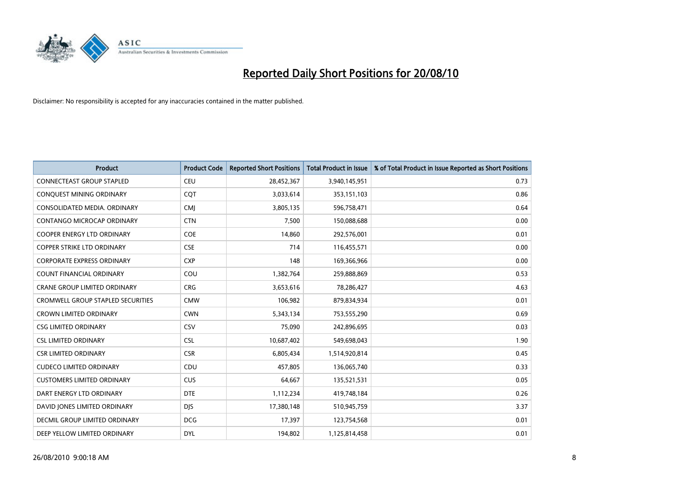

| <b>Product</b>                           | <b>Product Code</b> | <b>Reported Short Positions</b> | <b>Total Product in Issue</b> | % of Total Product in Issue Reported as Short Positions |
|------------------------------------------|---------------------|---------------------------------|-------------------------------|---------------------------------------------------------|
| <b>CONNECTEAST GROUP STAPLED</b>         | CEU                 | 28,452,367                      | 3,940,145,951                 | 0.73                                                    |
| CONQUEST MINING ORDINARY                 | COT                 | 3,033,614                       | 353,151,103                   | 0.86                                                    |
| CONSOLIDATED MEDIA, ORDINARY             | <b>CMJ</b>          | 3,805,135                       | 596,758,471                   | 0.64                                                    |
| CONTANGO MICROCAP ORDINARY               | <b>CTN</b>          | 7,500                           | 150,088,688                   | 0.00                                                    |
| <b>COOPER ENERGY LTD ORDINARY</b>        | <b>COE</b>          | 14,860                          | 292,576,001                   | 0.01                                                    |
| <b>COPPER STRIKE LTD ORDINARY</b>        | <b>CSE</b>          | 714                             | 116,455,571                   | 0.00                                                    |
| <b>CORPORATE EXPRESS ORDINARY</b>        | <b>CXP</b>          | 148                             | 169,366,966                   | 0.00                                                    |
| <b>COUNT FINANCIAL ORDINARY</b>          | COU                 | 1,382,764                       | 259,888,869                   | 0.53                                                    |
| CRANE GROUP LIMITED ORDINARY             | <b>CRG</b>          | 3,653,616                       | 78,286,427                    | 4.63                                                    |
| <b>CROMWELL GROUP STAPLED SECURITIES</b> | <b>CMW</b>          | 106,982                         | 879,834,934                   | 0.01                                                    |
| <b>CROWN LIMITED ORDINARY</b>            | <b>CWN</b>          | 5,343,134                       | 753,555,290                   | 0.69                                                    |
| <b>CSG LIMITED ORDINARY</b>              | CSV                 | 75,090                          | 242,896,695                   | 0.03                                                    |
| <b>CSL LIMITED ORDINARY</b>              | CSL                 | 10,687,402                      | 549,698,043                   | 1.90                                                    |
| <b>CSR LIMITED ORDINARY</b>              | <b>CSR</b>          | 6,805,434                       | 1,514,920,814                 | 0.45                                                    |
| <b>CUDECO LIMITED ORDINARY</b>           | CDU                 | 457,805                         | 136,065,740                   | 0.33                                                    |
| <b>CUSTOMERS LIMITED ORDINARY</b>        | <b>CUS</b>          | 64,667                          | 135,521,531                   | 0.05                                                    |
| DART ENERGY LTD ORDINARY                 | <b>DTE</b>          | 1,112,234                       | 419,748,184                   | 0.26                                                    |
| DAVID JONES LIMITED ORDINARY             | <b>DJS</b>          | 17,380,148                      | 510,945,759                   | 3.37                                                    |
| DECMIL GROUP LIMITED ORDINARY            | <b>DCG</b>          | 17,397                          | 123,754,568                   | 0.01                                                    |
| DEEP YELLOW LIMITED ORDINARY             | <b>DYL</b>          | 194,802                         | 1,125,814,458                 | 0.01                                                    |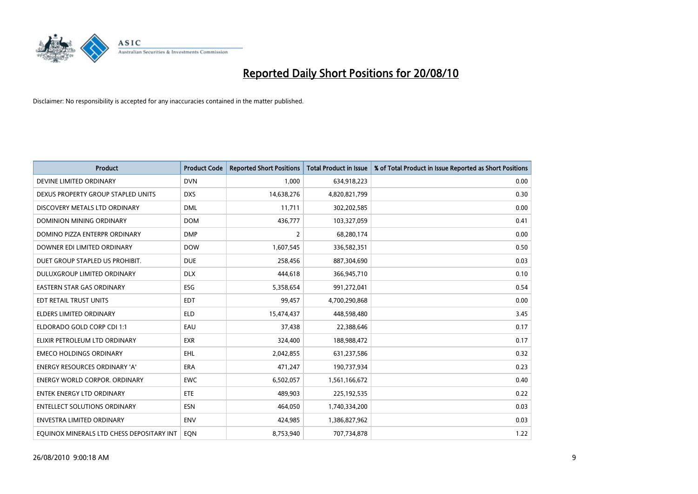

| <b>Product</b>                            | <b>Product Code</b> | <b>Reported Short Positions</b> | <b>Total Product in Issue</b> | % of Total Product in Issue Reported as Short Positions |
|-------------------------------------------|---------------------|---------------------------------|-------------------------------|---------------------------------------------------------|
| DEVINE LIMITED ORDINARY                   | <b>DVN</b>          | 1,000                           | 634,918,223                   | 0.00                                                    |
| DEXUS PROPERTY GROUP STAPLED UNITS        | <b>DXS</b>          | 14,638,276                      | 4,820,821,799                 | 0.30                                                    |
| DISCOVERY METALS LTD ORDINARY             | <b>DML</b>          | 11,711                          | 302,202,585                   | 0.00                                                    |
| DOMINION MINING ORDINARY                  | <b>DOM</b>          | 436,777                         | 103,327,059                   | 0.41                                                    |
| DOMINO PIZZA ENTERPR ORDINARY             | <b>DMP</b>          | 2                               | 68,280,174                    | 0.00                                                    |
| DOWNER EDI LIMITED ORDINARY               | <b>DOW</b>          | 1,607,545                       | 336,582,351                   | 0.50                                                    |
| DUET GROUP STAPLED US PROHIBIT.           | <b>DUE</b>          | 258,456                         | 887,304,690                   | 0.03                                                    |
| DULUXGROUP LIMITED ORDINARY               | <b>DLX</b>          | 444,618                         | 366,945,710                   | 0.10                                                    |
| EASTERN STAR GAS ORDINARY                 | ESG                 | 5,358,654                       | 991,272,041                   | 0.54                                                    |
| EDT RETAIL TRUST UNITS                    | <b>EDT</b>          | 99,457                          | 4,700,290,868                 | 0.00                                                    |
| <b>ELDERS LIMITED ORDINARY</b>            | <b>ELD</b>          | 15,474,437                      | 448,598,480                   | 3.45                                                    |
| ELDORADO GOLD CORP CDI 1:1                | EAU                 | 37,438                          | 22,388,646                    | 0.17                                                    |
| ELIXIR PETROLEUM LTD ORDINARY             | <b>EXR</b>          | 324,400                         | 188,988,472                   | 0.17                                                    |
| <b>EMECO HOLDINGS ORDINARY</b>            | <b>EHL</b>          | 2,042,855                       | 631,237,586                   | 0.32                                                    |
| <b>ENERGY RESOURCES ORDINARY 'A'</b>      | <b>ERA</b>          | 471,247                         | 190,737,934                   | 0.23                                                    |
| <b>ENERGY WORLD CORPOR. ORDINARY</b>      | <b>EWC</b>          | 6,502,057                       | 1,561,166,672                 | 0.40                                                    |
| <b>ENTEK ENERGY LTD ORDINARY</b>          | ETE                 | 489,903                         | 225,192,535                   | 0.22                                                    |
| <b>ENTELLECT SOLUTIONS ORDINARY</b>       | <b>ESN</b>          | 464,050                         | 1,740,334,200                 | 0.03                                                    |
| <b>ENVESTRA LIMITED ORDINARY</b>          | <b>ENV</b>          | 424,985                         | 1,386,827,962                 | 0.03                                                    |
| EQUINOX MINERALS LTD CHESS DEPOSITARY INT | <b>EON</b>          | 8,753,940                       | 707,734,878                   | 1.22                                                    |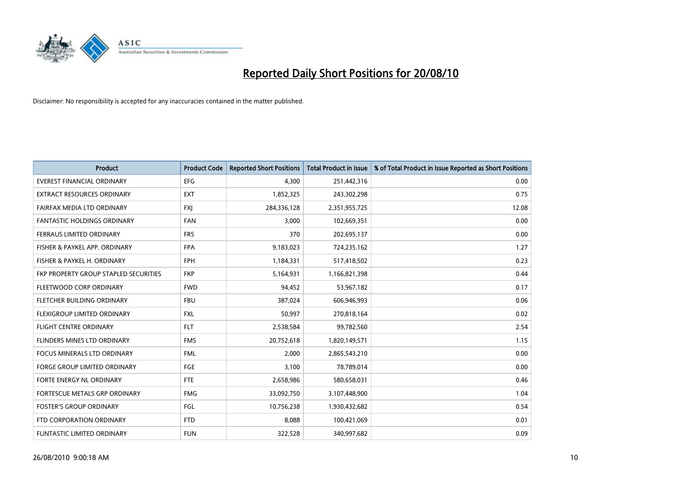

| <b>Product</b>                        | <b>Product Code</b> | <b>Reported Short Positions</b> | <b>Total Product in Issue</b> | % of Total Product in Issue Reported as Short Positions |
|---------------------------------------|---------------------|---------------------------------|-------------------------------|---------------------------------------------------------|
| <b>EVEREST FINANCIAL ORDINARY</b>     | <b>EFG</b>          | 4.300                           | 251,442,316                   | 0.00                                                    |
| EXTRACT RESOURCES ORDINARY            | <b>EXT</b>          | 1,852,325                       | 243,302,298                   | 0.75                                                    |
| FAIRFAX MEDIA LTD ORDINARY            | <b>FXI</b>          | 284,336,128                     | 2,351,955,725                 | 12.08                                                   |
| <b>FANTASTIC HOLDINGS ORDINARY</b>    | <b>FAN</b>          | 3,000                           | 102,669,351                   | 0.00                                                    |
| FERRAUS LIMITED ORDINARY              | <b>FRS</b>          | 370                             | 202,695,137                   | 0.00                                                    |
| FISHER & PAYKEL APP. ORDINARY         | <b>FPA</b>          | 9,183,023                       | 724,235,162                   | 1.27                                                    |
| FISHER & PAYKEL H. ORDINARY           | <b>FPH</b>          | 1,184,331                       | 517,418,502                   | 0.23                                                    |
| FKP PROPERTY GROUP STAPLED SECURITIES | <b>FKP</b>          | 5,164,931                       | 1,166,821,398                 | 0.44                                                    |
| FLEETWOOD CORP ORDINARY               | <b>FWD</b>          | 94,452                          | 53,967,182                    | 0.17                                                    |
| FLETCHER BUILDING ORDINARY            | <b>FBU</b>          | 387,024                         | 606,946,993                   | 0.06                                                    |
| FLEXIGROUP LIMITED ORDINARY           | <b>FXL</b>          | 50,997                          | 270,818,164                   | 0.02                                                    |
| <b>FLIGHT CENTRE ORDINARY</b>         | <b>FLT</b>          | 2,538,584                       | 99,782,560                    | 2.54                                                    |
| FLINDERS MINES LTD ORDINARY           | <b>FMS</b>          | 20,752,618                      | 1,820,149,571                 | 1.15                                                    |
| <b>FOCUS MINERALS LTD ORDINARY</b>    | <b>FML</b>          | 2,000                           | 2,865,543,210                 | 0.00                                                    |
| <b>FORGE GROUP LIMITED ORDINARY</b>   | FGE                 | 3,100                           | 78,789,014                    | 0.00                                                    |
| FORTE ENERGY NL ORDINARY              | <b>FTE</b>          | 2,658,986                       | 580,658,031                   | 0.46                                                    |
| FORTESCUE METALS GRP ORDINARY         | <b>FMG</b>          | 33,092,750                      | 3,107,448,900                 | 1.04                                                    |
| <b>FOSTER'S GROUP ORDINARY</b>        | <b>FGL</b>          | 10,756,238                      | 1,930,432,682                 | 0.54                                                    |
| FTD CORPORATION ORDINARY              | <b>FTD</b>          | 8,088                           | 100,421,069                   | 0.01                                                    |
| FUNTASTIC LIMITED ORDINARY            | <b>FUN</b>          | 322,528                         | 340,997,682                   | 0.09                                                    |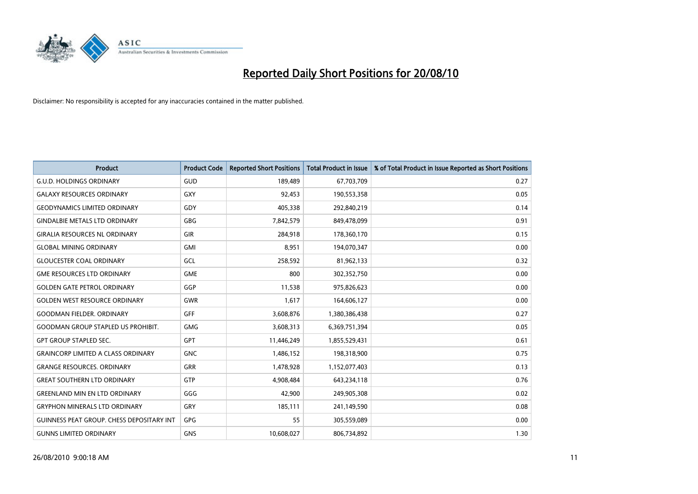

| <b>Product</b>                                   | <b>Product Code</b> | <b>Reported Short Positions</b> | <b>Total Product in Issue</b> | % of Total Product in Issue Reported as Short Positions |
|--------------------------------------------------|---------------------|---------------------------------|-------------------------------|---------------------------------------------------------|
| <b>G.U.D. HOLDINGS ORDINARY</b>                  | GUD                 | 189,489                         | 67,703,709                    | 0.27                                                    |
| <b>GALAXY RESOURCES ORDINARY</b>                 | <b>GXY</b>          | 92,453                          | 190,553,358                   | 0.05                                                    |
| <b>GEODYNAMICS LIMITED ORDINARY</b>              | GDY                 | 405,338                         | 292,840,219                   | 0.14                                                    |
| <b>GINDALBIE METALS LTD ORDINARY</b>             | <b>GBG</b>          | 7,842,579                       | 849,478,099                   | 0.91                                                    |
| <b>GIRALIA RESOURCES NL ORDINARY</b>             | <b>GIR</b>          | 284,918                         | 178,360,170                   | 0.15                                                    |
| <b>GLOBAL MINING ORDINARY</b>                    | <b>GMI</b>          | 8,951                           | 194,070,347                   | 0.00                                                    |
| <b>GLOUCESTER COAL ORDINARY</b>                  | GCL                 | 258,592                         | 81,962,133                    | 0.32                                                    |
| <b>GME RESOURCES LTD ORDINARY</b>                | <b>GME</b>          | 800                             | 302,352,750                   | 0.00                                                    |
| <b>GOLDEN GATE PETROL ORDINARY</b>               | GGP                 | 11,538                          | 975,826,623                   | 0.00                                                    |
| <b>GOLDEN WEST RESOURCE ORDINARY</b>             | <b>GWR</b>          | 1,617                           | 164,606,127                   | 0.00                                                    |
| <b>GOODMAN FIELDER. ORDINARY</b>                 | <b>GFF</b>          | 3,608,876                       | 1,380,386,438                 | 0.27                                                    |
| <b>GOODMAN GROUP STAPLED US PROHIBIT.</b>        | <b>GMG</b>          | 3,608,313                       | 6,369,751,394                 | 0.05                                                    |
| <b>GPT GROUP STAPLED SEC.</b>                    | GPT                 | 11,446,249                      | 1,855,529,431                 | 0.61                                                    |
| <b>GRAINCORP LIMITED A CLASS ORDINARY</b>        | <b>GNC</b>          | 1,486,152                       | 198,318,900                   | 0.75                                                    |
| <b>GRANGE RESOURCES, ORDINARY</b>                | GRR                 | 1,478,928                       | 1,152,077,403                 | 0.13                                                    |
| <b>GREAT SOUTHERN LTD ORDINARY</b>               | <b>GTP</b>          | 4,908,484                       | 643,234,118                   | 0.76                                                    |
| <b>GREENLAND MIN EN LTD ORDINARY</b>             | GGG                 | 42,900                          | 249,905,308                   | 0.02                                                    |
| <b>GRYPHON MINERALS LTD ORDINARY</b>             | GRY                 | 185,111                         | 241,149,590                   | 0.08                                                    |
| <b>GUINNESS PEAT GROUP. CHESS DEPOSITARY INT</b> | GPG                 | 55                              | 305,559,089                   | 0.00                                                    |
| <b>GUNNS LIMITED ORDINARY</b>                    | <b>GNS</b>          | 10,608,027                      | 806,734,892                   | 1.30                                                    |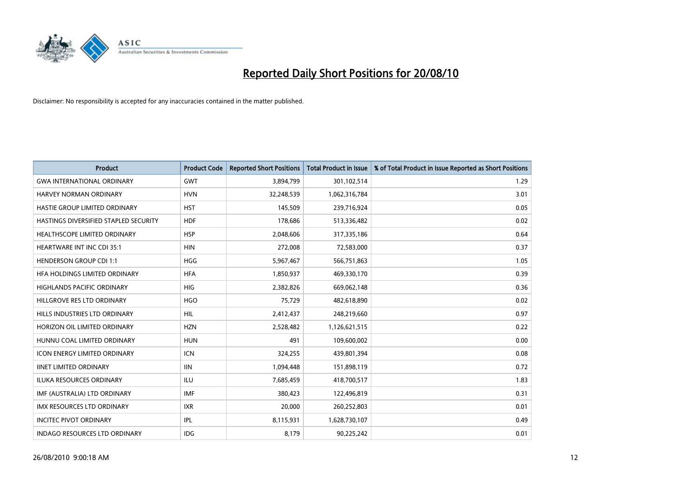

| <b>Product</b>                        | <b>Product Code</b> | <b>Reported Short Positions</b> | <b>Total Product in Issue</b> | % of Total Product in Issue Reported as Short Positions |
|---------------------------------------|---------------------|---------------------------------|-------------------------------|---------------------------------------------------------|
| <b>GWA INTERNATIONAL ORDINARY</b>     | <b>GWT</b>          | 3,894,799                       | 301,102,514                   | 1.29                                                    |
| <b>HARVEY NORMAN ORDINARY</b>         | <b>HVN</b>          | 32,248,539                      | 1,062,316,784                 | 3.01                                                    |
| <b>HASTIE GROUP LIMITED ORDINARY</b>  | <b>HST</b>          | 145,509                         | 239,716,924                   | 0.05                                                    |
| HASTINGS DIVERSIFIED STAPLED SECURITY | <b>HDF</b>          | 178,686                         | 513,336,482                   | 0.02                                                    |
| HEALTHSCOPE LIMITED ORDINARY          | <b>HSP</b>          | 2,048,606                       | 317,335,186                   | 0.64                                                    |
| <b>HEARTWARE INT INC CDI 35:1</b>     | <b>HIN</b>          | 272,008                         | 72,583,000                    | 0.37                                                    |
| <b>HENDERSON GROUP CDI 1:1</b>        | <b>HGG</b>          | 5,967,467                       | 566,751,863                   | 1.05                                                    |
| HFA HOLDINGS LIMITED ORDINARY         | <b>HFA</b>          | 1,850,937                       | 469,330,170                   | 0.39                                                    |
| HIGHLANDS PACIFIC ORDINARY            | <b>HIG</b>          | 2,382,826                       | 669,062,148                   | 0.36                                                    |
| HILLGROVE RES LTD ORDINARY            | <b>HGO</b>          | 75,729                          | 482,618,890                   | 0.02                                                    |
| HILLS INDUSTRIES LTD ORDINARY         | <b>HIL</b>          | 2,412,437                       | 248,219,660                   | 0.97                                                    |
| HORIZON OIL LIMITED ORDINARY          | <b>HZN</b>          | 2,528,482                       | 1,126,621,515                 | 0.22                                                    |
| HUNNU COAL LIMITED ORDINARY           | <b>HUN</b>          | 491                             | 109,600,002                   | 0.00                                                    |
| ICON ENERGY LIMITED ORDINARY          | <b>ICN</b>          | 324,255                         | 439,801,394                   | 0.08                                                    |
| <b>IINET LIMITED ORDINARY</b>         | <b>IIN</b>          | 1,094,448                       | 151,898,119                   | 0.72                                                    |
| <b>ILUKA RESOURCES ORDINARY</b>       | <b>ILU</b>          | 7,685,459                       | 418,700,517                   | 1.83                                                    |
| IMF (AUSTRALIA) LTD ORDINARY          | <b>IMF</b>          | 380,423                         | 122,496,819                   | 0.31                                                    |
| IMX RESOURCES LTD ORDINARY            | <b>IXR</b>          | 20,000                          | 260,252,803                   | 0.01                                                    |
| <b>INCITEC PIVOT ORDINARY</b>         | IPL                 | 8,115,931                       | 1,628,730,107                 | 0.49                                                    |
| <b>INDAGO RESOURCES LTD ORDINARY</b>  | <b>IDG</b>          | 8,179                           | 90,225,242                    | 0.01                                                    |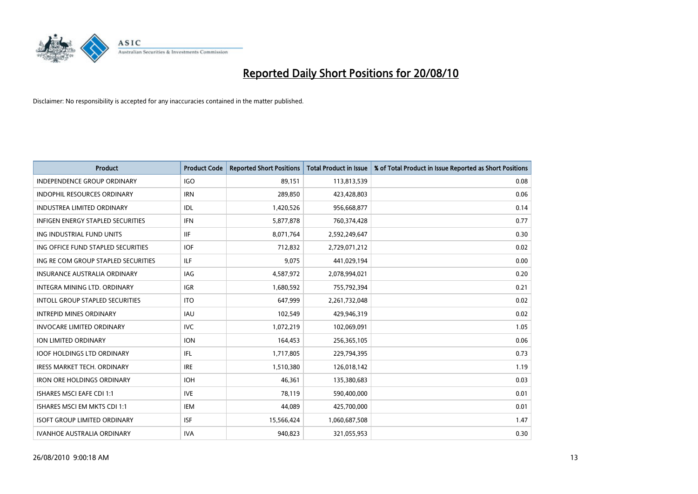

| <b>Product</b>                         | <b>Product Code</b> | <b>Reported Short Positions</b> | <b>Total Product in Issue</b> | % of Total Product in Issue Reported as Short Positions |
|----------------------------------------|---------------------|---------------------------------|-------------------------------|---------------------------------------------------------|
| <b>INDEPENDENCE GROUP ORDINARY</b>     | <b>IGO</b>          | 89,151                          | 113,813,539                   | 0.08                                                    |
| INDOPHIL RESOURCES ORDINARY            | <b>IRN</b>          | 289,850                         | 423,428,803                   | 0.06                                                    |
| <b>INDUSTREA LIMITED ORDINARY</b>      | IDL                 | 1,420,526                       | 956,668,877                   | 0.14                                                    |
| INFIGEN ENERGY STAPLED SECURITIES      | <b>IFN</b>          | 5,877,878                       | 760,374,428                   | 0.77                                                    |
| ING INDUSTRIAL FUND UNITS              | <b>IIF</b>          | 8,071,764                       | 2,592,249,647                 | 0.30                                                    |
| ING OFFICE FUND STAPLED SECURITIES     | <b>IOF</b>          | 712,832                         | 2,729,071,212                 | 0.02                                                    |
| ING RE COM GROUP STAPLED SECURITIES    | <b>ILF</b>          | 9.075                           | 441,029,194                   | 0.00                                                    |
| <b>INSURANCE AUSTRALIA ORDINARY</b>    | <b>IAG</b>          | 4,587,972                       | 2,078,994,021                 | 0.20                                                    |
| INTEGRA MINING LTD. ORDINARY           | <b>IGR</b>          | 1,680,592                       | 755,792,394                   | 0.21                                                    |
| <b>INTOLL GROUP STAPLED SECURITIES</b> | <b>ITO</b>          | 647,999                         | 2,261,732,048                 | 0.02                                                    |
| <b>INTREPID MINES ORDINARY</b>         | <b>IAU</b>          | 102,549                         | 429,946,319                   | 0.02                                                    |
| <b>INVOCARE LIMITED ORDINARY</b>       | <b>IVC</b>          | 1,072,219                       | 102,069,091                   | 1.05                                                    |
| <b>ION LIMITED ORDINARY</b>            | <b>ION</b>          | 164,453                         | 256,365,105                   | 0.06                                                    |
| <b>IOOF HOLDINGS LTD ORDINARY</b>      | <b>IFL</b>          | 1,717,805                       | 229,794,395                   | 0.73                                                    |
| <b>IRESS MARKET TECH. ORDINARY</b>     | <b>IRE</b>          | 1,510,380                       | 126,018,142                   | 1.19                                                    |
| <b>IRON ORE HOLDINGS ORDINARY</b>      | <b>IOH</b>          | 46,361                          | 135,380,683                   | 0.03                                                    |
| <b>ISHARES MSCI EAFE CDI 1:1</b>       | <b>IVE</b>          | 78.119                          | 590,400,000                   | 0.01                                                    |
| <b>ISHARES MSCI EM MKTS CDI 1:1</b>    | <b>IEM</b>          | 44,089                          | 425,700,000                   | 0.01                                                    |
| <b>ISOFT GROUP LIMITED ORDINARY</b>    | <b>ISF</b>          | 15,566,424                      | 1,060,687,508                 | 1.47                                                    |
| <b>IVANHOE AUSTRALIA ORDINARY</b>      | <b>IVA</b>          | 940.823                         | 321,055,953                   | 0.30                                                    |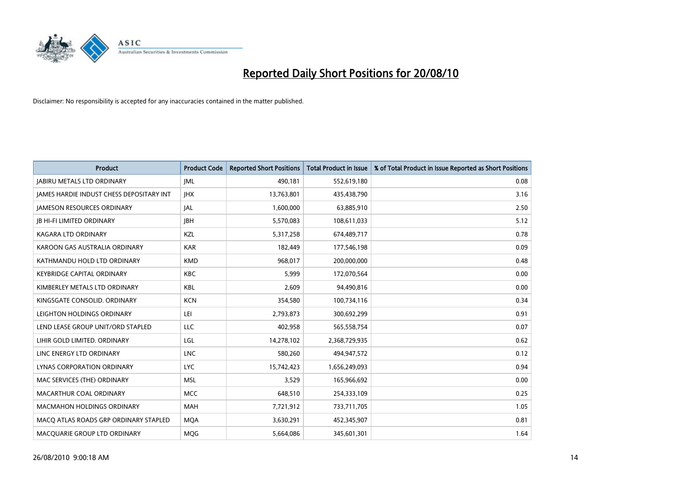

| <b>Product</b>                           | <b>Product Code</b> | <b>Reported Short Positions</b> | <b>Total Product in Issue</b> | % of Total Product in Issue Reported as Short Positions |
|------------------------------------------|---------------------|---------------------------------|-------------------------------|---------------------------------------------------------|
| <b>JABIRU METALS LTD ORDINARY</b>        | <b>JML</b>          | 490,181                         | 552,619,180                   | 0.08                                                    |
| JAMES HARDIE INDUST CHESS DEPOSITARY INT | <b>IHX</b>          | 13,763,801                      | 435,438,790                   | 3.16                                                    |
| <b>JAMESON RESOURCES ORDINARY</b>        | <b>JAL</b>          | 1,600,000                       | 63,885,910                    | 2.50                                                    |
| <b>JB HI-FI LIMITED ORDINARY</b>         | <b>IBH</b>          | 5,570,083                       | 108,611,033                   | 5.12                                                    |
| <b>KAGARA LTD ORDINARY</b>               | KZL                 | 5,317,258                       | 674,489,717                   | 0.78                                                    |
| KAROON GAS AUSTRALIA ORDINARY            | <b>KAR</b>          | 182,449                         | 177,546,198                   | 0.09                                                    |
| KATHMANDU HOLD LTD ORDINARY              | <b>KMD</b>          | 968,017                         | 200,000,000                   | 0.48                                                    |
| <b>KEYBRIDGE CAPITAL ORDINARY</b>        | <b>KBC</b>          | 5,999                           | 172,070,564                   | 0.00                                                    |
| KIMBERLEY METALS LTD ORDINARY            | <b>KBL</b>          | 2.609                           | 94,490,816                    | 0.00                                                    |
| KINGSGATE CONSOLID, ORDINARY             | <b>KCN</b>          | 354,580                         | 100,734,116                   | 0.34                                                    |
| LEIGHTON HOLDINGS ORDINARY               | LEI                 | 2,793,873                       | 300,692,299                   | 0.91                                                    |
| LEND LEASE GROUP UNIT/ORD STAPLED        | LLC                 | 402,958                         | 565,558,754                   | 0.07                                                    |
| LIHIR GOLD LIMITED. ORDINARY             | LGL                 | 14,278,102                      | 2,368,729,935                 | 0.62                                                    |
| LINC ENERGY LTD ORDINARY                 | <b>LNC</b>          | 580,260                         | 494,947,572                   | 0.12                                                    |
| LYNAS CORPORATION ORDINARY               | <b>LYC</b>          | 15,742,423                      | 1,656,249,093                 | 0.94                                                    |
| MAC SERVICES (THE) ORDINARY              | <b>MSL</b>          | 3,529                           | 165,966,692                   | 0.00                                                    |
| MACARTHUR COAL ORDINARY                  | <b>MCC</b>          | 648,510                         | 254,333,109                   | 0.25                                                    |
| <b>MACMAHON HOLDINGS ORDINARY</b>        | <b>MAH</b>          | 7,721,912                       | 733,711,705                   | 1.05                                                    |
| MACO ATLAS ROADS GRP ORDINARY STAPLED    | <b>MOA</b>          | 3,630,291                       | 452,345,907                   | 0.81                                                    |
| MACQUARIE GROUP LTD ORDINARY             | <b>MOG</b>          | 5,664,086                       | 345,601,301                   | 1.64                                                    |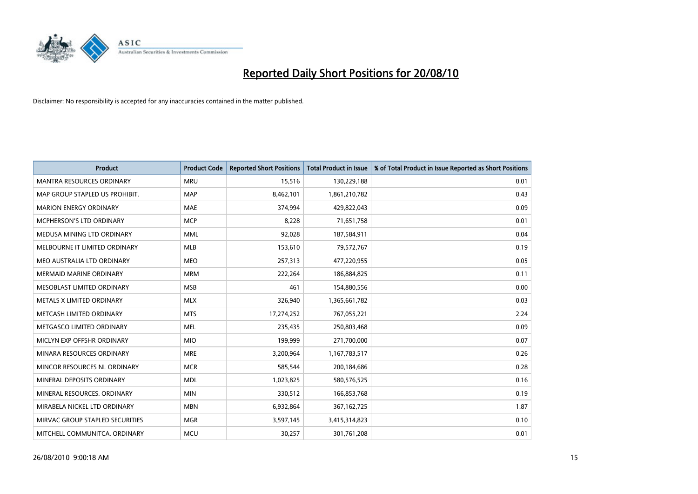

| <b>Product</b>                   | <b>Product Code</b> | <b>Reported Short Positions</b> | <b>Total Product in Issue</b> | % of Total Product in Issue Reported as Short Positions |
|----------------------------------|---------------------|---------------------------------|-------------------------------|---------------------------------------------------------|
| <b>MANTRA RESOURCES ORDINARY</b> | <b>MRU</b>          | 15,516                          | 130,229,188                   | 0.01                                                    |
| MAP GROUP STAPLED US PROHIBIT.   | <b>MAP</b>          | 8,462,101                       | 1,861,210,782                 | 0.43                                                    |
| <b>MARION ENERGY ORDINARY</b>    | <b>MAE</b>          | 374,994                         | 429,822,043                   | 0.09                                                    |
| MCPHERSON'S LTD ORDINARY         | <b>MCP</b>          | 8,228                           | 71,651,758                    | 0.01                                                    |
| MEDUSA MINING LTD ORDINARY       | <b>MML</b>          | 92,028                          | 187,584,911                   | 0.04                                                    |
| MELBOURNE IT LIMITED ORDINARY    | MLB                 | 153,610                         | 79,572,767                    | 0.19                                                    |
| MEO AUSTRALIA LTD ORDINARY       | <b>MEO</b>          | 257,313                         | 477,220,955                   | 0.05                                                    |
| MERMAID MARINE ORDINARY          | <b>MRM</b>          | 222,264                         | 186,884,825                   | 0.11                                                    |
| MESOBLAST LIMITED ORDINARY       | <b>MSB</b>          | 461                             | 154,880,556                   | 0.00                                                    |
| METALS X LIMITED ORDINARY        | <b>MLX</b>          | 326,940                         | 1,365,661,782                 | 0.03                                                    |
| METCASH LIMITED ORDINARY         | <b>MTS</b>          | 17,274,252                      | 767,055,221                   | 2.24                                                    |
| METGASCO LIMITED ORDINARY        | <b>MEL</b>          | 235,435                         | 250,803,468                   | 0.09                                                    |
| MICLYN EXP OFFSHR ORDINARY       | <b>MIO</b>          | 199,999                         | 271,700,000                   | 0.07                                                    |
| MINARA RESOURCES ORDINARY        | <b>MRE</b>          | 3,200,964                       | 1,167,783,517                 | 0.26                                                    |
| MINCOR RESOURCES NL ORDINARY     | <b>MCR</b>          | 585,544                         | 200,184,686                   | 0.28                                                    |
| MINERAL DEPOSITS ORDINARY        | <b>MDL</b>          | 1,023,825                       | 580,576,525                   | 0.16                                                    |
| MINERAL RESOURCES. ORDINARY      | <b>MIN</b>          | 330,512                         | 166,853,768                   | 0.19                                                    |
| MIRABELA NICKEL LTD ORDINARY     | <b>MBN</b>          | 6,932,864                       | 367, 162, 725                 | 1.87                                                    |
| MIRVAC GROUP STAPLED SECURITIES  | <b>MGR</b>          | 3,597,145                       | 3,415,314,823                 | 0.10                                                    |
| MITCHELL COMMUNITCA. ORDINARY    | <b>MCU</b>          | 30,257                          | 301,761,208                   | 0.01                                                    |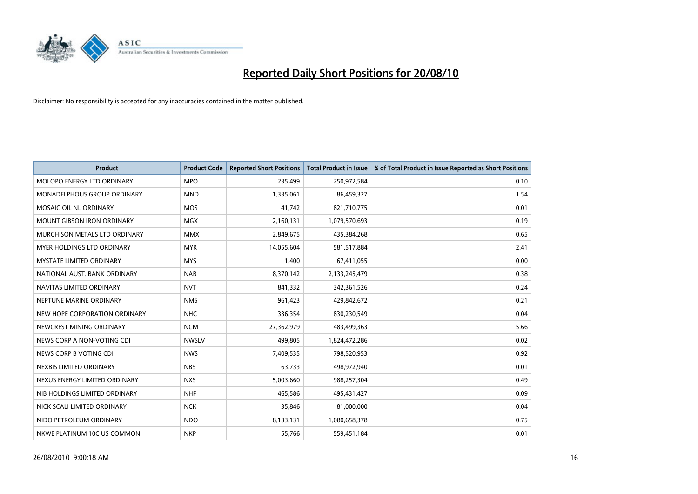

| <b>Product</b>                    | <b>Product Code</b> | <b>Reported Short Positions</b> | <b>Total Product in Issue</b> | % of Total Product in Issue Reported as Short Positions |
|-----------------------------------|---------------------|---------------------------------|-------------------------------|---------------------------------------------------------|
| <b>MOLOPO ENERGY LTD ORDINARY</b> | <b>MPO</b>          | 235,499                         | 250,972,584                   | 0.10                                                    |
| MONADELPHOUS GROUP ORDINARY       | <b>MND</b>          | 1,335,061                       | 86,459,327                    | 1.54                                                    |
| MOSAIC OIL NL ORDINARY            | <b>MOS</b>          | 41,742                          | 821,710,775                   | 0.01                                                    |
| <b>MOUNT GIBSON IRON ORDINARY</b> | <b>MGX</b>          | 2,160,131                       | 1,079,570,693                 | 0.19                                                    |
| MURCHISON METALS LTD ORDINARY     | <b>MMX</b>          | 2,849,675                       | 435,384,268                   | 0.65                                                    |
| MYER HOLDINGS LTD ORDINARY        | <b>MYR</b>          | 14,055,604                      | 581,517,884                   | 2.41                                                    |
| <b>MYSTATE LIMITED ORDINARY</b>   | <b>MYS</b>          | 1,400                           | 67,411,055                    | 0.00                                                    |
| NATIONAL AUST, BANK ORDINARY      | <b>NAB</b>          | 8,370,142                       | 2,133,245,479                 | 0.38                                                    |
| NAVITAS LIMITED ORDINARY          | <b>NVT</b>          | 841,332                         | 342,361,526                   | 0.24                                                    |
| NEPTUNE MARINE ORDINARY           | <b>NMS</b>          | 961,423                         | 429,842,672                   | 0.21                                                    |
| NEW HOPE CORPORATION ORDINARY     | <b>NHC</b>          | 336,354                         | 830,230,549                   | 0.04                                                    |
| NEWCREST MINING ORDINARY          | <b>NCM</b>          | 27,362,979                      | 483,499,363                   | 5.66                                                    |
| NEWS CORP A NON-VOTING CDI        | <b>NWSLV</b>        | 499,805                         | 1,824,472,286                 | 0.02                                                    |
| NEWS CORP B VOTING CDI            | <b>NWS</b>          | 7,409,535                       | 798,520,953                   | 0.92                                                    |
| NEXBIS LIMITED ORDINARY           | <b>NBS</b>          | 63,733                          | 498,972,940                   | 0.01                                                    |
| NEXUS ENERGY LIMITED ORDINARY     | <b>NXS</b>          | 5,003,660                       | 988,257,304                   | 0.49                                                    |
| NIB HOLDINGS LIMITED ORDINARY     | <b>NHF</b>          | 465,586                         | 495,431,427                   | 0.09                                                    |
| NICK SCALI LIMITED ORDINARY       | <b>NCK</b>          | 35,846                          | 81,000,000                    | 0.04                                                    |
| NIDO PETROLEUM ORDINARY           | <b>NDO</b>          | 8,133,131                       | 1,080,658,378                 | 0.75                                                    |
| NKWE PLATINUM 10C US COMMON       | <b>NKP</b>          | 55,766                          | 559,451,184                   | 0.01                                                    |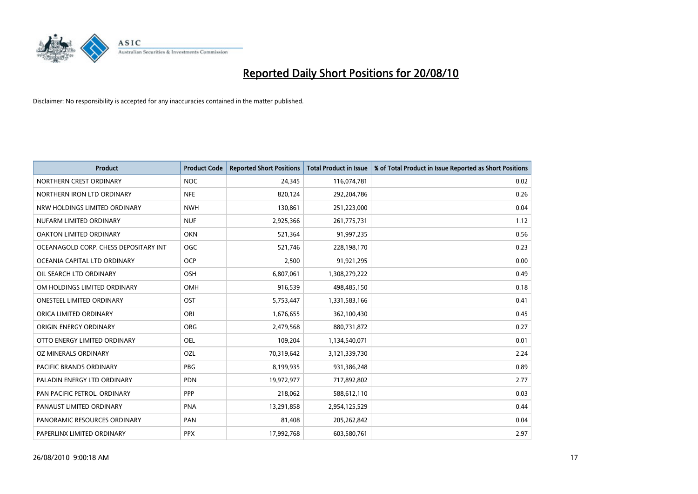

| <b>Product</b>                        | <b>Product Code</b> | <b>Reported Short Positions</b> | <b>Total Product in Issue</b> | % of Total Product in Issue Reported as Short Positions |
|---------------------------------------|---------------------|---------------------------------|-------------------------------|---------------------------------------------------------|
| NORTHERN CREST ORDINARY               | <b>NOC</b>          | 24,345                          | 116,074,781                   | 0.02                                                    |
| NORTHERN IRON LTD ORDINARY            | <b>NFE</b>          | 820,124                         | 292,204,786                   | 0.26                                                    |
| NRW HOLDINGS LIMITED ORDINARY         | <b>NWH</b>          | 130,861                         | 251,223,000                   | 0.04                                                    |
| NUFARM LIMITED ORDINARY               | <b>NUF</b>          | 2,925,366                       | 261,775,731                   | 1.12                                                    |
| OAKTON LIMITED ORDINARY               | <b>OKN</b>          | 521,364                         | 91,997,235                    | 0.56                                                    |
| OCEANAGOLD CORP. CHESS DEPOSITARY INT | <b>OGC</b>          | 521,746                         | 228,198,170                   | 0.23                                                    |
| OCEANIA CAPITAL LTD ORDINARY          | <b>OCP</b>          | 2,500                           | 91,921,295                    | 0.00                                                    |
| OIL SEARCH LTD ORDINARY               | <b>OSH</b>          | 6,807,061                       | 1,308,279,222                 | 0.49                                                    |
| OM HOLDINGS LIMITED ORDINARY          | <b>OMH</b>          | 916,539                         | 498,485,150                   | 0.18                                                    |
| <b>ONESTEEL LIMITED ORDINARY</b>      | <b>OST</b>          | 5,753,447                       | 1,331,583,166                 | 0.41                                                    |
| ORICA LIMITED ORDINARY                | ORI                 | 1,676,655                       | 362,100,430                   | 0.45                                                    |
| <b>ORIGIN ENERGY ORDINARY</b>         | <b>ORG</b>          | 2,479,568                       | 880,731,872                   | 0.27                                                    |
| OTTO ENERGY LIMITED ORDINARY          | <b>OEL</b>          | 109,204                         | 1,134,540,071                 | 0.01                                                    |
| OZ MINERALS ORDINARY                  | OZL                 | 70,319,642                      | 3,121,339,730                 | 2.24                                                    |
| <b>PACIFIC BRANDS ORDINARY</b>        | PBG                 | 8,199,935                       | 931,386,248                   | 0.89                                                    |
| PALADIN ENERGY LTD ORDINARY           | <b>PDN</b>          | 19,972,977                      | 717,892,802                   | 2.77                                                    |
| PAN PACIFIC PETROL. ORDINARY          | PPP                 | 218,062                         | 588,612,110                   | 0.03                                                    |
| PANAUST LIMITED ORDINARY              | <b>PNA</b>          | 13,291,858                      | 2,954,125,529                 | 0.44                                                    |
| PANORAMIC RESOURCES ORDINARY          | PAN                 | 81,408                          | 205,262,842                   | 0.04                                                    |
| PAPERLINX LIMITED ORDINARY            | <b>PPX</b>          | 17,992,768                      | 603,580,761                   | 2.97                                                    |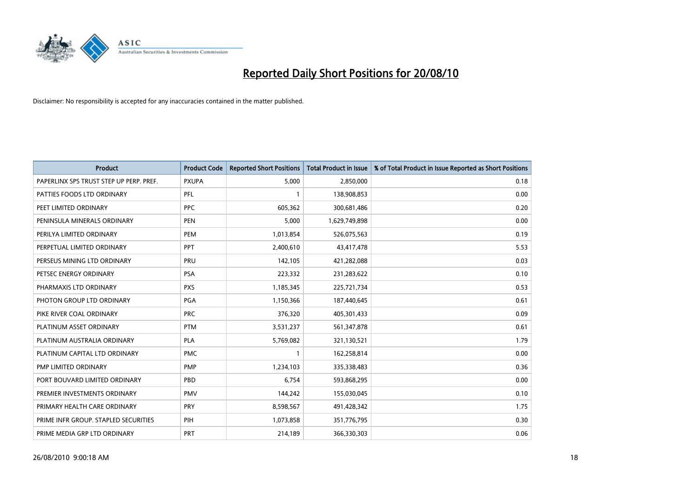

| <b>Product</b>                          | <b>Product Code</b> | <b>Reported Short Positions</b> | Total Product in Issue | % of Total Product in Issue Reported as Short Positions |
|-----------------------------------------|---------------------|---------------------------------|------------------------|---------------------------------------------------------|
| PAPERLINX SPS TRUST STEP UP PERP. PREF. | <b>PXUPA</b>        | 5,000                           | 2,850,000              | 0.18                                                    |
| PATTIES FOODS LTD ORDINARY              | PFL                 |                                 | 138,908,853            | 0.00                                                    |
| PEET LIMITED ORDINARY                   | <b>PPC</b>          | 605,362                         | 300,681,486            | 0.20                                                    |
| PENINSULA MINERALS ORDINARY             | <b>PEN</b>          | 5,000                           | 1,629,749,898          | 0.00                                                    |
| PERILYA LIMITED ORDINARY                | PEM                 | 1,013,854                       | 526,075,563            | 0.19                                                    |
| PERPETUAL LIMITED ORDINARY              | PPT                 | 2,400,610                       | 43,417,478             | 5.53                                                    |
| PERSEUS MINING LTD ORDINARY             | PRU                 | 142,105                         | 421,282,088            | 0.03                                                    |
| PETSEC ENERGY ORDINARY                  | <b>PSA</b>          | 223,332                         | 231,283,622            | 0.10                                                    |
| PHARMAXIS LTD ORDINARY                  | <b>PXS</b>          | 1,185,345                       | 225,721,734            | 0.53                                                    |
| PHOTON GROUP LTD ORDINARY               | PGA                 | 1,150,366                       | 187,440,645            | 0.61                                                    |
| PIKE RIVER COAL ORDINARY                | <b>PRC</b>          | 376,320                         | 405,301,433            | 0.09                                                    |
| PLATINUM ASSET ORDINARY                 | <b>PTM</b>          | 3,531,237                       | 561,347,878            | 0.61                                                    |
| PLATINUM AUSTRALIA ORDINARY             | <b>PLA</b>          | 5,769,082                       | 321,130,521            | 1.79                                                    |
| PLATINUM CAPITAL LTD ORDINARY           | <b>PMC</b>          |                                 | 162,258,814            | 0.00                                                    |
| PMP LIMITED ORDINARY                    | PMP                 | 1,234,103                       | 335,338,483            | 0.36                                                    |
| PORT BOUVARD LIMITED ORDINARY           | PBD                 | 6,754                           | 593,868,295            | 0.00                                                    |
| PREMIER INVESTMENTS ORDINARY            | <b>PMV</b>          | 144,242                         | 155,030,045            | 0.10                                                    |
| PRIMARY HEALTH CARE ORDINARY            | <b>PRY</b>          | 8,598,567                       | 491,428,342            | 1.75                                                    |
| PRIME INFR GROUP. STAPLED SECURITIES    | PIH                 | 1,073,858                       | 351,776,795            | 0.30                                                    |
| PRIME MEDIA GRP LTD ORDINARY            | <b>PRT</b>          | 214,189                         | 366,330,303            | 0.06                                                    |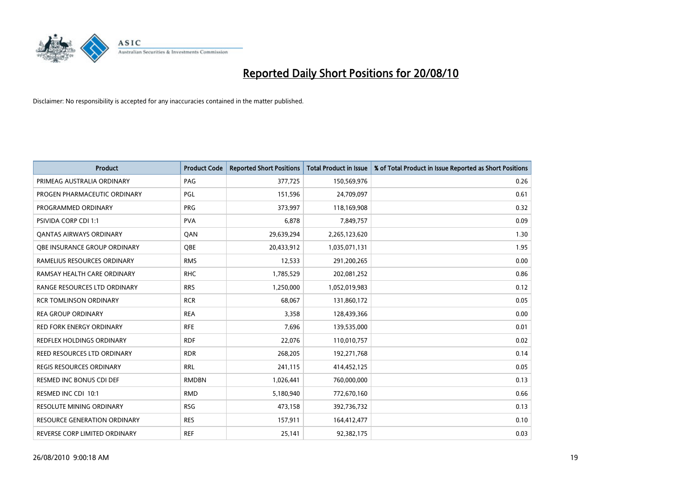

| <b>Product</b>                      | <b>Product Code</b> | <b>Reported Short Positions</b> | Total Product in Issue | % of Total Product in Issue Reported as Short Positions |
|-------------------------------------|---------------------|---------------------------------|------------------------|---------------------------------------------------------|
| PRIMEAG AUSTRALIA ORDINARY          | PAG                 | 377,725                         | 150,569,976            | 0.26                                                    |
| PROGEN PHARMACEUTIC ORDINARY        | PGL                 | 151,596                         | 24,709,097             | 0.61                                                    |
| PROGRAMMED ORDINARY                 | <b>PRG</b>          | 373,997                         | 118,169,908            | 0.32                                                    |
| PSIVIDA CORP CDI 1:1                | <b>PVA</b>          | 6,878                           | 7,849,757              | 0.09                                                    |
| <b>QANTAS AIRWAYS ORDINARY</b>      | QAN                 | 29,639,294                      | 2,265,123,620          | 1.30                                                    |
| OBE INSURANCE GROUP ORDINARY        | <b>QBE</b>          | 20,433,912                      | 1,035,071,131          | 1.95                                                    |
| RAMELIUS RESOURCES ORDINARY         | <b>RMS</b>          | 12,533                          | 291,200,265            | 0.00                                                    |
| RAMSAY HEALTH CARE ORDINARY         | <b>RHC</b>          | 1,785,529                       | 202,081,252            | 0.86                                                    |
| RANGE RESOURCES LTD ORDINARY        | <b>RRS</b>          | 1,250,000                       | 1,052,019,983          | 0.12                                                    |
| <b>RCR TOMLINSON ORDINARY</b>       | <b>RCR</b>          | 68,067                          | 131,860,172            | 0.05                                                    |
| <b>REA GROUP ORDINARY</b>           | <b>REA</b>          | 3,358                           | 128,439,366            | 0.00                                                    |
| <b>RED FORK ENERGY ORDINARY</b>     | <b>RFE</b>          | 7,696                           | 139,535,000            | 0.01                                                    |
| REDFLEX HOLDINGS ORDINARY           | <b>RDF</b>          | 22,076                          | 110,010,757            | 0.02                                                    |
| REED RESOURCES LTD ORDINARY         | <b>RDR</b>          | 268,205                         | 192,271,768            | 0.14                                                    |
| <b>REGIS RESOURCES ORDINARY</b>     | <b>RRL</b>          | 241,115                         | 414,452,125            | 0.05                                                    |
| <b>RESMED INC BONUS CDI DEF</b>     | <b>RMDBN</b>        | 1,026,441                       | 760,000,000            | 0.13                                                    |
| RESMED INC CDI 10:1                 | <b>RMD</b>          | 5,180,940                       | 772,670,160            | 0.66                                                    |
| RESOLUTE MINING ORDINARY            | <b>RSG</b>          | 473,158                         | 392,736,732            | 0.13                                                    |
| <b>RESOURCE GENERATION ORDINARY</b> | <b>RES</b>          | 157,911                         | 164,412,477            | 0.10                                                    |
| REVERSE CORP LIMITED ORDINARY       | <b>REF</b>          | 25,141                          | 92,382,175             | 0.03                                                    |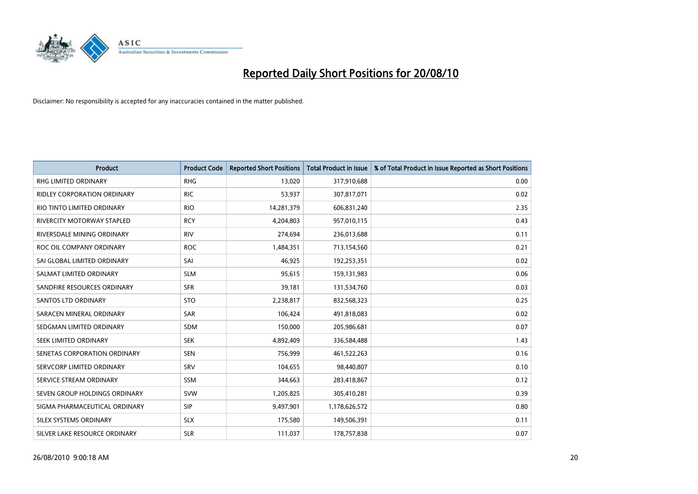

| <b>Product</b>                | <b>Product Code</b> | <b>Reported Short Positions</b> | Total Product in Issue | % of Total Product in Issue Reported as Short Positions |
|-------------------------------|---------------------|---------------------------------|------------------------|---------------------------------------------------------|
| <b>RHG LIMITED ORDINARY</b>   | <b>RHG</b>          | 13,020                          | 317,910,688            | 0.00                                                    |
| RIDLEY CORPORATION ORDINARY   | <b>RIC</b>          | 53,937                          | 307,817,071            | 0.02                                                    |
| RIO TINTO LIMITED ORDINARY    | <b>RIO</b>          | 14,281,379                      | 606,831,240            | 2.35                                                    |
| RIVERCITY MOTORWAY STAPLED    | <b>RCY</b>          | 4,204,803                       | 957,010,115            | 0.43                                                    |
| RIVERSDALE MINING ORDINARY    | <b>RIV</b>          | 274,694                         | 236,013,688            | 0.11                                                    |
| ROC OIL COMPANY ORDINARY      | <b>ROC</b>          | 1,484,351                       | 713,154,560            | 0.21                                                    |
| SAI GLOBAL LIMITED ORDINARY   | SAI                 | 46,925                          | 192,253,351            | 0.02                                                    |
| SALMAT LIMITED ORDINARY       | <b>SLM</b>          | 95,615                          | 159,131,983            | 0.06                                                    |
| SANDFIRE RESOURCES ORDINARY   | <b>SFR</b>          | 39,181                          | 131,534,760            | 0.03                                                    |
| SANTOS LTD ORDINARY           | <b>STO</b>          | 2,238,817                       | 832,568,323            | 0.25                                                    |
| SARACEN MINERAL ORDINARY      | <b>SAR</b>          | 106,424                         | 491,818,083            | 0.02                                                    |
| SEDGMAN LIMITED ORDINARY      | <b>SDM</b>          | 150,000                         | 205,986,681            | 0.07                                                    |
| SEEK LIMITED ORDINARY         | <b>SEK</b>          | 4,892,409                       | 336,584,488            | 1.43                                                    |
| SENETAS CORPORATION ORDINARY  | <b>SEN</b>          | 756,999                         | 461,522,263            | 0.16                                                    |
| SERVCORP LIMITED ORDINARY     | SRV                 | 104,655                         | 98,440,807             | 0.10                                                    |
| SERVICE STREAM ORDINARY       | <b>SSM</b>          | 344,663                         | 283,418,867            | 0.12                                                    |
| SEVEN GROUP HOLDINGS ORDINARY | <b>SVW</b>          | 1,205,825                       | 305,410,281            | 0.39                                                    |
| SIGMA PHARMACEUTICAL ORDINARY | SIP                 | 9,497,901                       | 1,178,626,572          | 0.80                                                    |
| SILEX SYSTEMS ORDINARY        | <b>SLX</b>          | 175,580                         | 149,506,391            | 0.11                                                    |
| SILVER LAKE RESOURCE ORDINARY | <b>SLR</b>          | 111,037                         | 178,757,838            | 0.07                                                    |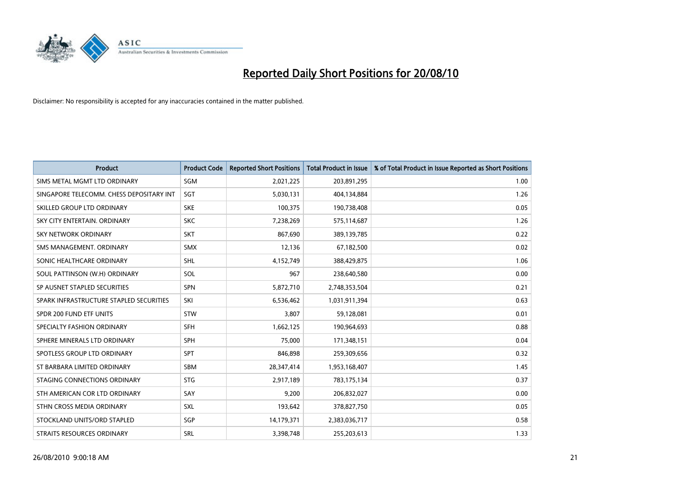

| <b>Product</b>                           | <b>Product Code</b> | <b>Reported Short Positions</b> | <b>Total Product in Issue</b> | % of Total Product in Issue Reported as Short Positions |
|------------------------------------------|---------------------|---------------------------------|-------------------------------|---------------------------------------------------------|
| SIMS METAL MGMT LTD ORDINARY             | SGM                 | 2,021,225                       | 203,891,295                   | 1.00                                                    |
| SINGAPORE TELECOMM. CHESS DEPOSITARY INT | SGT                 | 5,030,131                       | 404,134,884                   | 1.26                                                    |
| SKILLED GROUP LTD ORDINARY               | <b>SKE</b>          | 100,375                         | 190,738,408                   | 0.05                                                    |
| SKY CITY ENTERTAIN. ORDINARY             | <b>SKC</b>          | 7,238,269                       | 575,114,687                   | 1.26                                                    |
| <b>SKY NETWORK ORDINARY</b>              | <b>SKT</b>          | 867,690                         | 389,139,785                   | 0.22                                                    |
| SMS MANAGEMENT, ORDINARY                 | <b>SMX</b>          | 12,136                          | 67,182,500                    | 0.02                                                    |
| SONIC HEALTHCARE ORDINARY                | <b>SHL</b>          | 4,152,749                       | 388,429,875                   | 1.06                                                    |
| SOUL PATTINSON (W.H) ORDINARY            | SOL                 | 967                             | 238,640,580                   | 0.00                                                    |
| SP AUSNET STAPLED SECURITIES             | <b>SPN</b>          | 5,872,710                       | 2,748,353,504                 | 0.21                                                    |
| SPARK INFRASTRUCTURE STAPLED SECURITIES  | SKI                 | 6,536,462                       | 1,031,911,394                 | 0.63                                                    |
| SPDR 200 FUND ETF UNITS                  | STW                 | 3,807                           | 59,128,081                    | 0.01                                                    |
| SPECIALTY FASHION ORDINARY               | <b>SFH</b>          | 1,662,125                       | 190,964,693                   | 0.88                                                    |
| SPHERE MINERALS LTD ORDINARY             | <b>SPH</b>          | 75,000                          | 171,348,151                   | 0.04                                                    |
| SPOTLESS GROUP LTD ORDINARY              | <b>SPT</b>          | 846.898                         | 259,309,656                   | 0.32                                                    |
| ST BARBARA LIMITED ORDINARY              | SBM                 | 28,347,414                      | 1,953,168,407                 | 1.45                                                    |
| STAGING CONNECTIONS ORDINARY             | <b>STG</b>          | 2,917,189                       | 783,175,134                   | 0.37                                                    |
| STH AMERICAN COR LTD ORDINARY            | SAY                 | 9,200                           | 206,832,027                   | 0.00                                                    |
| STHN CROSS MEDIA ORDINARY                | <b>SXL</b>          | 193,642                         | 378,827,750                   | 0.05                                                    |
| STOCKLAND UNITS/ORD STAPLED              | SGP                 | 14,179,371                      | 2,383,036,717                 | 0.58                                                    |
| STRAITS RESOURCES ORDINARY               | SRL                 | 3,398,748                       | 255,203,613                   | 1.33                                                    |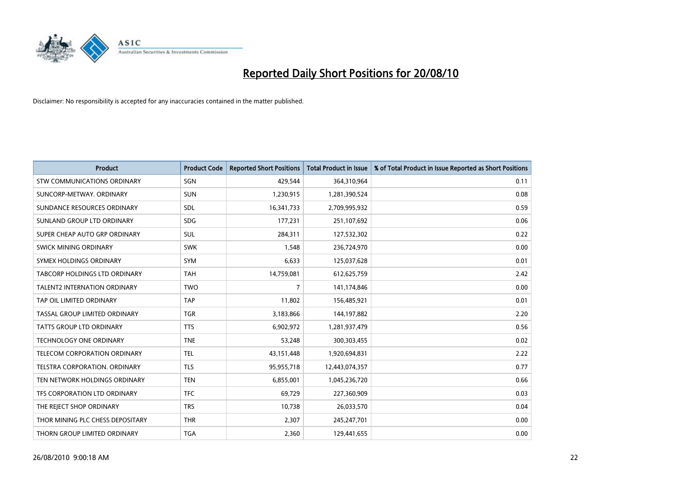

| <b>Product</b>                      | <b>Product Code</b> | <b>Reported Short Positions</b> | <b>Total Product in Issue</b> | % of Total Product in Issue Reported as Short Positions |
|-------------------------------------|---------------------|---------------------------------|-------------------------------|---------------------------------------------------------|
| <b>STW COMMUNICATIONS ORDINARY</b>  | SGN                 | 429,544                         | 364,310,964                   | 0.11                                                    |
| SUNCORP-METWAY, ORDINARY            | <b>SUN</b>          | 1,230,915                       | 1,281,390,524                 | 0.08                                                    |
| SUNDANCE RESOURCES ORDINARY         | <b>SDL</b>          | 16,341,733                      | 2,709,995,932                 | 0.59                                                    |
| SUNLAND GROUP LTD ORDINARY          | <b>SDG</b>          | 177,231                         | 251,107,692                   | 0.06                                                    |
| SUPER CHEAP AUTO GRP ORDINARY       | <b>SUL</b>          | 284,311                         | 127,532,302                   | 0.22                                                    |
| SWICK MINING ORDINARY               | <b>SWK</b>          | 1,548                           | 236,724,970                   | 0.00                                                    |
| SYMEX HOLDINGS ORDINARY             | <b>SYM</b>          | 6,633                           | 125,037,628                   | 0.01                                                    |
| TABCORP HOLDINGS LTD ORDINARY       | <b>TAH</b>          | 14,759,081                      | 612,625,759                   | 2.42                                                    |
| <b>TALENT2 INTERNATION ORDINARY</b> | <b>TWO</b>          | 7                               | 141,174,846                   | 0.00                                                    |
| TAP OIL LIMITED ORDINARY            | <b>TAP</b>          | 11,802                          | 156,485,921                   | 0.01                                                    |
| TASSAL GROUP LIMITED ORDINARY       | <b>TGR</b>          | 3,183,866                       | 144,197,882                   | 2.20                                                    |
| <b>TATTS GROUP LTD ORDINARY</b>     | <b>TTS</b>          | 6,902,972                       | 1,281,937,479                 | 0.56                                                    |
| TECHNOLOGY ONE ORDINARY             | <b>TNE</b>          | 53,248                          | 300,303,455                   | 0.02                                                    |
| TELECOM CORPORATION ORDINARY        | <b>TEL</b>          | 43,151,448                      | 1,920,694,831                 | 2.22                                                    |
| TELSTRA CORPORATION, ORDINARY       | <b>TLS</b>          | 95,955,718                      | 12,443,074,357                | 0.77                                                    |
| TEN NETWORK HOLDINGS ORDINARY       | <b>TEN</b>          | 6,855,001                       | 1,045,236,720                 | 0.66                                                    |
| TFS CORPORATION LTD ORDINARY        | <b>TFC</b>          | 69,729                          | 227,360,909                   | 0.03                                                    |
| THE REJECT SHOP ORDINARY            | <b>TRS</b>          | 10,738                          | 26,033,570                    | 0.04                                                    |
| THOR MINING PLC CHESS DEPOSITARY    | <b>THR</b>          | 2,307                           | 245,247,701                   | 0.00                                                    |
| THORN GROUP LIMITED ORDINARY        | <b>TGA</b>          | 2,360                           | 129,441,655                   | 0.00                                                    |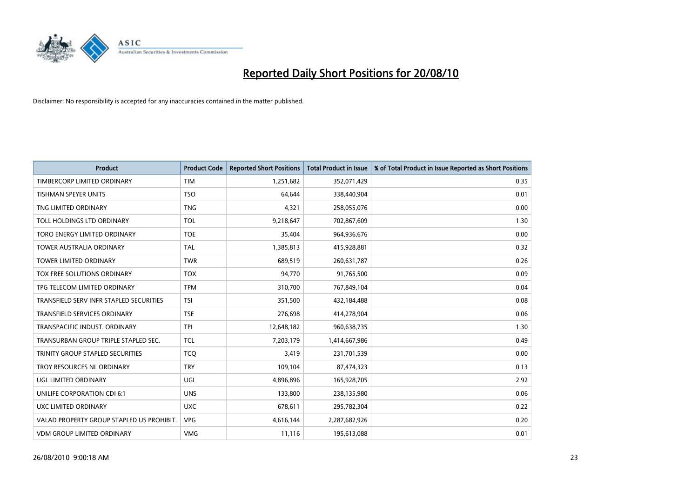

| <b>Product</b>                            | <b>Product Code</b> | <b>Reported Short Positions</b> | <b>Total Product in Issue</b> | % of Total Product in Issue Reported as Short Positions |
|-------------------------------------------|---------------------|---------------------------------|-------------------------------|---------------------------------------------------------|
| TIMBERCORP LIMITED ORDINARY               | <b>TIM</b>          | 1,251,682                       | 352,071,429                   | 0.35                                                    |
| TISHMAN SPEYER UNITS                      | <b>TSO</b>          | 64,644                          | 338,440,904                   | 0.01                                                    |
| TNG LIMITED ORDINARY                      | <b>TNG</b>          | 4,321                           | 258,055,076                   | 0.00                                                    |
| TOLL HOLDINGS LTD ORDINARY                | TOL                 | 9,218,647                       | 702,867,609                   | 1.30                                                    |
| TORO ENERGY LIMITED ORDINARY              | <b>TOE</b>          | 35,404                          | 964,936,676                   | 0.00                                                    |
| <b>TOWER AUSTRALIA ORDINARY</b>           | <b>TAL</b>          | 1,385,813                       | 415,928,881                   | 0.32                                                    |
| <b>TOWER LIMITED ORDINARY</b>             | <b>TWR</b>          | 689,519                         | 260,631,787                   | 0.26                                                    |
| TOX FREE SOLUTIONS ORDINARY               | <b>TOX</b>          | 94,770                          | 91,765,500                    | 0.09                                                    |
| TPG TELECOM LIMITED ORDINARY              | <b>TPM</b>          | 310,700                         | 767,849,104                   | 0.04                                                    |
| TRANSFIELD SERV INFR STAPLED SECURITIES   | <b>TSI</b>          | 351,500                         | 432,184,488                   | 0.08                                                    |
| <b>TRANSFIELD SERVICES ORDINARY</b>       | <b>TSE</b>          | 276,698                         | 414,278,904                   | 0.06                                                    |
| TRANSPACIFIC INDUST. ORDINARY             | <b>TPI</b>          | 12,648,182                      | 960,638,735                   | 1.30                                                    |
| TRANSURBAN GROUP TRIPLE STAPLED SEC.      | <b>TCL</b>          | 7,203,179                       | 1,414,667,986                 | 0.49                                                    |
| TRINITY GROUP STAPLED SECURITIES          | <b>TCQ</b>          | 3,419                           | 231,701,539                   | 0.00                                                    |
| TROY RESOURCES NL ORDINARY                | <b>TRY</b>          | 109,104                         | 87,474,323                    | 0.13                                                    |
| UGL LIMITED ORDINARY                      | UGL                 | 4,896,896                       | 165,928,705                   | 2.92                                                    |
| UNILIFE CORPORATION CDI 6:1               | <b>UNS</b>          | 133,800                         | 238,135,980                   | 0.06                                                    |
| UXC LIMITED ORDINARY                      | <b>UXC</b>          | 678,611                         | 295,782,304                   | 0.22                                                    |
| VALAD PROPERTY GROUP STAPLED US PROHIBIT. | <b>VPG</b>          | 4,616,144                       | 2,287,682,926                 | 0.20                                                    |
| VDM GROUP LIMITED ORDINARY                | <b>VMG</b>          | 11,116                          | 195,613,088                   | 0.01                                                    |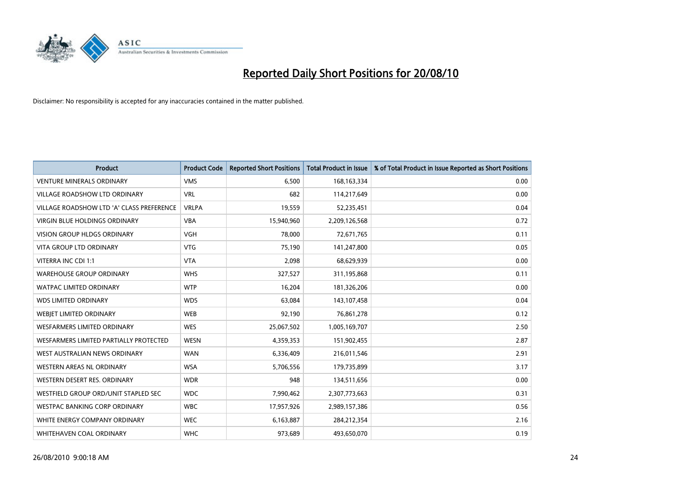

| <b>Product</b>                            | <b>Product Code</b> | <b>Reported Short Positions</b> | <b>Total Product in Issue</b> | % of Total Product in Issue Reported as Short Positions |
|-------------------------------------------|---------------------|---------------------------------|-------------------------------|---------------------------------------------------------|
| <b>VENTURE MINERALS ORDINARY</b>          | <b>VMS</b>          | 6,500                           | 168, 163, 334                 | 0.00                                                    |
| VILLAGE ROADSHOW LTD ORDINARY             | <b>VRL</b>          | 682                             | 114,217,649                   | 0.00                                                    |
| VILLAGE ROADSHOW LTD 'A' CLASS PREFERENCE | <b>VRLPA</b>        | 19,559                          | 52,235,451                    | 0.04                                                    |
| <b>VIRGIN BLUE HOLDINGS ORDINARY</b>      | <b>VBA</b>          | 15,940,960                      | 2,209,126,568                 | 0.72                                                    |
| <b>VISION GROUP HLDGS ORDINARY</b>        | <b>VGH</b>          | 78,000                          | 72,671,765                    | 0.11                                                    |
| <b>VITA GROUP LTD ORDINARY</b>            | <b>VTG</b>          | 75,190                          | 141,247,800                   | 0.05                                                    |
| VITERRA INC CDI 1:1                       | <b>VTA</b>          | 2,098                           | 68,629,939                    | 0.00                                                    |
| <b>WAREHOUSE GROUP ORDINARY</b>           | <b>WHS</b>          | 327,527                         | 311,195,868                   | 0.11                                                    |
| <b>WATPAC LIMITED ORDINARY</b>            | <b>WTP</b>          | 16,204                          | 181,326,206                   | 0.00                                                    |
| <b>WDS LIMITED ORDINARY</b>               | <b>WDS</b>          | 63,084                          | 143,107,458                   | 0.04                                                    |
| WEBJET LIMITED ORDINARY                   | <b>WEB</b>          | 92,190                          | 76,861,278                    | 0.12                                                    |
| <b>WESFARMERS LIMITED ORDINARY</b>        | <b>WES</b>          | 25,067,502                      | 1,005,169,707                 | 2.50                                                    |
| WESFARMERS LIMITED PARTIALLY PROTECTED    | <b>WESN</b>         | 4,359,353                       | 151,902,455                   | 2.87                                                    |
| WEST AUSTRALIAN NEWS ORDINARY             | <b>WAN</b>          | 6,336,409                       | 216,011,546                   | 2.91                                                    |
| WESTERN AREAS NL ORDINARY                 | <b>WSA</b>          | 5,706,556                       | 179,735,899                   | 3.17                                                    |
| WESTERN DESERT RES. ORDINARY              | <b>WDR</b>          | 948                             | 134,511,656                   | 0.00                                                    |
| WESTFIELD GROUP ORD/UNIT STAPLED SEC      | <b>WDC</b>          | 7,990,462                       | 2,307,773,663                 | 0.31                                                    |
| <b>WESTPAC BANKING CORP ORDINARY</b>      | <b>WBC</b>          | 17,957,926                      | 2,989,157,386                 | 0.56                                                    |
| WHITE ENERGY COMPANY ORDINARY             | <b>WEC</b>          | 6,163,887                       | 284,212,354                   | 2.16                                                    |
| WHITEHAVEN COAL ORDINARY                  | <b>WHC</b>          | 973,689                         | 493,650,070                   | 0.19                                                    |